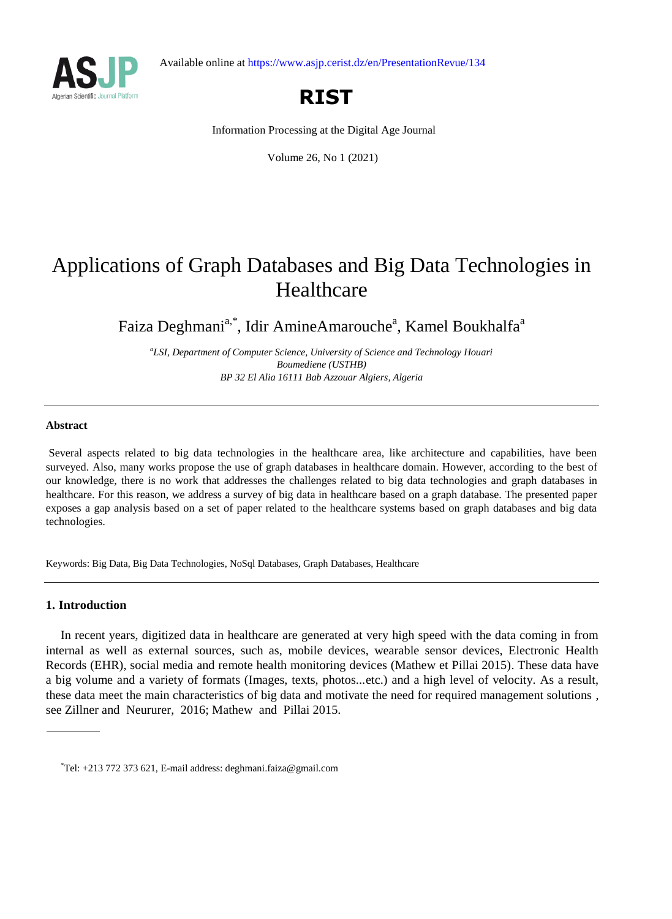



# **RIST**

Information Processing at the Digital Age Journal

Volume 26, No 1 (2021)

# Applications of Graph Databases and Big Data Technologies in Healthcare

Faiza Deghmani<sup>a,\*</sup>, Idir AmineAmarouche<sup>a</sup>, Kamel Boukhalfa<sup>a</sup>

*a LSI, Department of Computer Science, University of Science and Technology Houari Boumediene (USTHB) BP 32 El Alia 16111 Bab Azzouar Algiers, Algeria*

#### **Abstract**

Several aspects related to big data technologies in the healthcare area, like architecture and capabilities, have been surveyed. Also, many works propose the use of graph databases in healthcare domain. However, according to the best of our knowledge, there is no work that addresses the challenges related to big data technologies and graph databases in healthcare. For this reason, we address a survey of big data in healthcare based on a graph database. The presented paper exposes a gap analysis based on a set of paper related to the healthcare systems based on graph databases and big data technologies.

Keywords: Big Data, Big Data Technologies, NoSql Databases, Graph Databases, Healthcare

#### **1. Introduction**

In recent years, digitized data in healthcare are generated at very high speed with the data coming in from internal as well as external sources, such as, mobile devices, wearable sensor devices, Electronic Health Records (EHR), social media and remote health monitoring devices (Mathew et Pillai 2015). These data have a big volume and a variety of formats (Images, texts, photos...etc.) and a high level of velocity. As a result, these data meet the main characteristics of big data and motivate the need for required management solutions , see Zillner and Neururer, 2016; Mathew and Pillai 2015.

<sup>\*</sup>Tel: +213 772 373 621, E-mail address: deghmani.faiza@gmail.com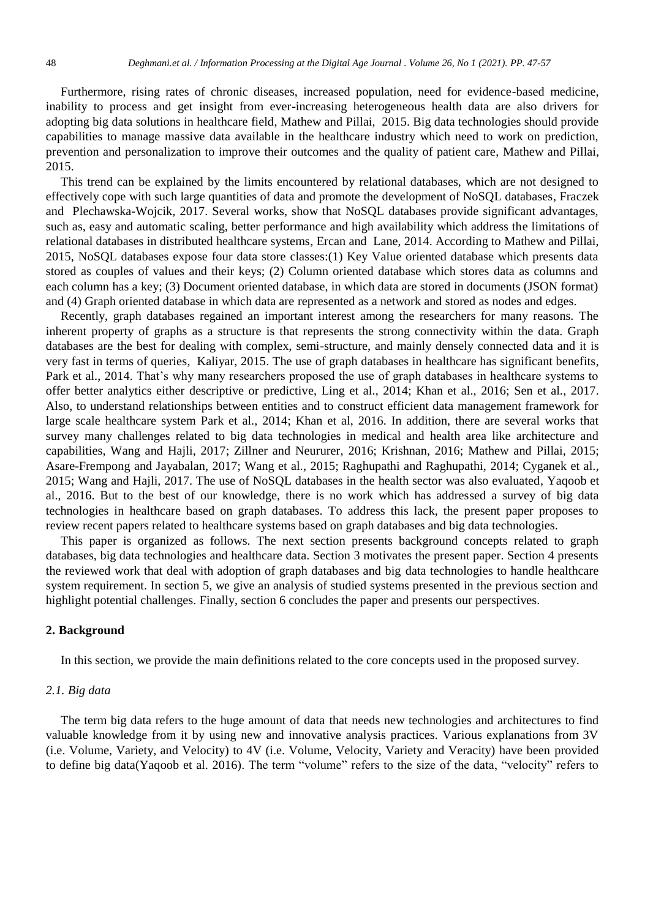Furthermore, rising rates of chronic diseases, increased population, need for evidence-based medicine, inability to process and get insight from ever-increasing heterogeneous health data are also drivers for adopting big data solutions in healthcare field, Mathew and Pillai, 2015. Big data technologies should provide capabilities to manage massive data available in the healthcare industry which need to work on prediction, prevention and personalization to improve their outcomes and the quality of patient care, Mathew and Pillai, 2015.

This trend can be explained by the limits encountered by relational databases, which are not designed to effectively cope with such large quantities of data and promote the development of NoSQL databases, Fraczek and Plechawska-Wojcik, 2017. Several works, show that NoSQL databases provide significant advantages, such as, easy and automatic scaling, better performance and high availability which address the limitations of relational databases in distributed healthcare systems, Ercan and Lane, 2014. According to Mathew and Pillai, 2015, NoSQL databases expose four data store classes:(1) Key Value oriented database which presents data stored as couples of values and their keys; (2) Column oriented database which stores data as columns and each column has a key; (3) Document oriented database, in which data are stored in documents (JSON format) and (4) Graph oriented database in which data are represented as a network and stored as nodes and edges.

Recently, graph databases regained an important interest among the researchers for many reasons. The inherent property of graphs as a structure is that represents the strong connectivity within the data. Graph databases are the best for dealing with complex, semi-structure, and mainly densely connected data and it is very fast in terms of queries, Kaliyar, 2015. The use of graph databases in healthcare has significant benefits, Park et al., 2014. That's why many researchers proposed the use of graph databases in healthcare systems to offer better analytics either descriptive or predictive, Ling et al., 2014; Khan et al., 2016; Sen et al., 2017. Also, to understand relationships between entities and to construct efficient data management framework for large scale healthcare system Park et al., 2014; Khan et al, 2016. In addition, there are several works that survey many challenges related to big data technologies in medical and health area like architecture and capabilities, Wang and Hajli, 2017; Zillner and Neururer, 2016; Krishnan, 2016; Mathew and Pillai, 2015; Asare-Frempong and Jayabalan, 2017; Wang et al., 2015; Raghupathi and Raghupathi, 2014; Cyganek et al., 2015; Wang and Hajli, 2017. The use of NoSQL databases in the health sector was also evaluated, Yaqoob et al., 2016. But to the best of our knowledge, there is no work which has addressed a survey of big data technologies in healthcare based on graph databases. To address this lack, the present paper proposes to review recent papers related to healthcare systems based on graph databases and big data technologies.

This paper is organized as follows. The next section presents background concepts related to graph databases, big data technologies and healthcare data. Section 3 motivates the present paper. Section 4 presents the reviewed work that deal with adoption of graph databases and big data technologies to handle healthcare system requirement. In section 5, we give an analysis of studied systems presented in the previous section and highlight potential challenges. Finally, section 6 concludes the paper and presents our perspectives.

#### **2. Background**

In this section, we provide the main definitions related to the core concepts used in the proposed survey.

## *2.1. Big data*

The term big data refers to the huge amount of data that needs new technologies and architectures to find valuable knowledge from it by using new and innovative analysis practices. Various explanations from 3V (i.e. Volume, Variety, and Velocity) to 4V (i.e. Volume, Velocity, Variety and Veracity) have been provided to define big data(Yaqoob et al. 2016). The term "volume" refers to the size of the data, "velocity" refers to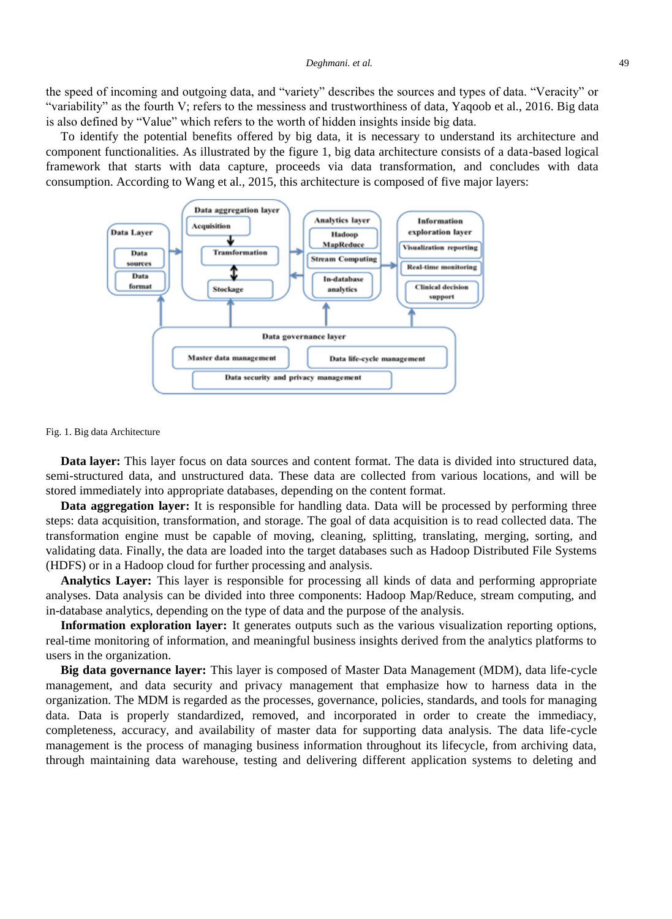the speed of incoming and outgoing data, and "variety" describes the sources and types of data. "Veracity" or "variability" as the fourth V; refers to the messiness and trustworthiness of data, Yaqoob et al., 2016. Big data is also defined by "Value" which refers to the worth of hidden insights inside big data.

To identify the potential benefits offered by big data, it is necessary to understand its architecture and component functionalities. As illustrated by the figure 1, big data architecture consists of a data-based logical framework that starts with data capture, proceeds via data transformation, and concludes with data consumption. According to Wang et al., 2015, this architecture is composed of five major layers:



#### Fig. 1. Big data Architecture

**Data layer:** This layer focus on data sources and content format. The data is divided into structured data, semi-structured data, and unstructured data. These data are collected from various locations, and will be stored immediately into appropriate databases, depending on the content format.

**Data aggregation layer:** It is responsible for handling data. Data will be processed by performing three steps: data acquisition, transformation, and storage. The goal of data acquisition is to read collected data. The transformation engine must be capable of moving, cleaning, splitting, translating, merging, sorting, and validating data. Finally, the data are loaded into the target databases such as Hadoop Distributed File Systems (HDFS) or in a Hadoop cloud for further processing and analysis.

**Analytics Layer:** This layer is responsible for processing all kinds of data and performing appropriate analyses. Data analysis can be divided into three components: Hadoop Map/Reduce, stream computing, and in-database analytics, depending on the type of data and the purpose of the analysis.

**Information exploration layer:** It generates outputs such as the various visualization reporting options, real-time monitoring of information, and meaningful business insights derived from the analytics platforms to users in the organization.

**Big data governance layer:** This layer is composed of Master Data Management (MDM), data life-cycle management, and data security and privacy management that emphasize how to harness data in the organization. The MDM is regarded as the processes, governance, policies, standards, and tools for managing data. Data is properly standardized, removed, and incorporated in order to create the immediacy, completeness, accuracy, and availability of master data for supporting data analysis. The data life-cycle management is the process of managing business information throughout its lifecycle, from archiving data, through maintaining data warehouse, testing and delivering different application systems to deleting and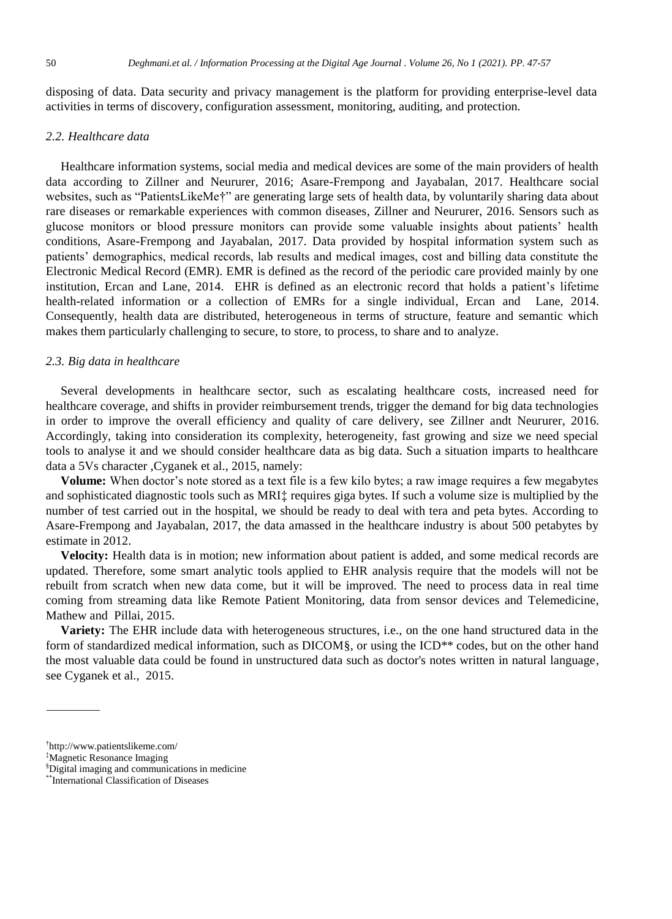disposing of data. Data security and privacy management is the platform for providing enterprise-level data activities in terms of discovery, configuration assessment, monitoring, auditing, and protection.

## *2.2. Healthcare data*

Healthcare information systems, social media and medical devices are some of the main providers of health data according to Zillner and Neururer, 2016; Asare-Frempong and Jayabalan, 2017. Healthcare social websites, such as "PatientsLikeMe†" are generating large sets of health data, by voluntarily sharing data about rare diseases or remarkable experiences with common diseases, Zillner and Neururer, 2016. Sensors such as glucose monitors or blood pressure monitors can provide some valuable insights about patients' health conditions, Asare-Frempong and Jayabalan, 2017. Data provided by hospital information system such as patients' demographics, medical records, lab results and medical images, cost and billing data constitute the Electronic Medical Record (EMR). EMR is defined as the record of the periodic care provided mainly by one institution, Ercan and Lane, 2014. EHR is defined as an electronic record that holds a patient's lifetime health-related information or a collection of EMRs for a single individual, Ercan and Lane, 2014. Consequently, health data are distributed, heterogeneous in terms of structure, feature and semantic which makes them particularly challenging to secure, to store, to process, to share and to analyze.

## *2.3. Big data in healthcare*

Several developments in healthcare sector, such as escalating healthcare costs, increased need for healthcare coverage, and shifts in provider reimbursement trends, trigger the demand for big data technologies in order to improve the overall efficiency and quality of care delivery, see Zillner andt Neururer, 2016. Accordingly, taking into consideration its complexity, heterogeneity, fast growing and size we need special tools to analyse it and we should consider healthcare data as big data. Such a situation imparts to healthcare data a 5Vs character ,Cyganek et al., 2015, namely:

**Volume:** When doctor's note stored as a text file is a few kilo bytes; a raw image requires a few megabytes and sophisticated diagnostic tools such as MRI‡ requires giga bytes. If such a volume size is multiplied by the number of test carried out in the hospital, we should be ready to deal with tera and peta bytes. According to Asare-Frempong and Jayabalan, 2017, the data amassed in the healthcare industry is about 500 petabytes by estimate in 2012.

**Velocity:** Health data is in motion; new information about patient is added, and some medical records are updated. Therefore, some smart analytic tools applied to EHR analysis require that the models will not be rebuilt from scratch when new data come, but it will be improved. The need to process data in real time coming from streaming data like Remote Patient Monitoring, data from sensor devices and Telemedicine, Mathew and Pillai, 2015.

**Variety:** The EHR include data with heterogeneous structures, i.e., on the one hand structured data in the form of standardized medical information, such as DICOM§, or using the ICD<sup>\*\*</sup> codes, but on the other hand the most valuable data could be found in unstructured data such as doctor's notes written in natural language, see Cyganek et al., 2015.

<sup>†</sup> http://www.patientslikeme.com/

<sup>‡</sup>Magnetic Resonance Imaging

<sup>§</sup>Digital imaging and communications in medicine

<sup>\*\*</sup>International Classification of Diseases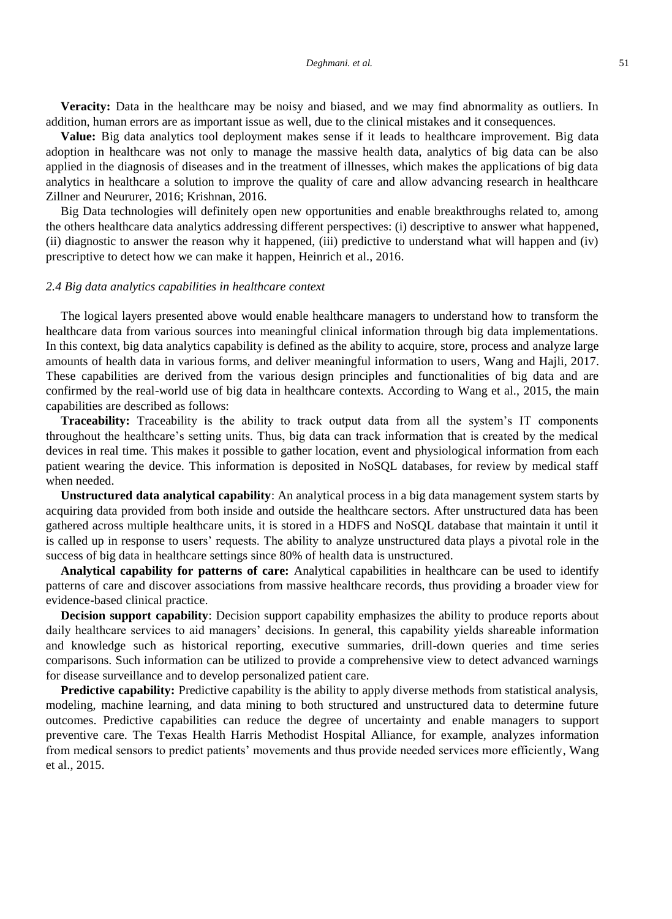**Veracity:** Data in the healthcare may be noisy and biased, and we may find abnormality as outliers. In addition, human errors are as important issue as well, due to the clinical mistakes and it consequences.

**Value:** Big data analytics tool deployment makes sense if it leads to healthcare improvement. Big data adoption in healthcare was not only to manage the massive health data, analytics of big data can be also applied in the diagnosis of diseases and in the treatment of illnesses, which makes the applications of big data analytics in healthcare a solution to improve the quality of care and allow advancing research in healthcare Zillner and Neururer, 2016; Krishnan, 2016.

Big Data technologies will definitely open new opportunities and enable breakthroughs related to, among the others healthcare data analytics addressing different perspectives: (i) descriptive to answer what happened, (ii) diagnostic to answer the reason why it happened, (iii) predictive to understand what will happen and (iv) prescriptive to detect how we can make it happen, Heinrich et al., 2016.

#### *2.4 Big data analytics capabilities in healthcare context*

The logical layers presented above would enable healthcare managers to understand how to transform the healthcare data from various sources into meaningful clinical information through big data implementations. In this context, big data analytics capability is defined as the ability to acquire, store, process and analyze large amounts of health data in various forms, and deliver meaningful information to users, Wang and Hajli, 2017. These capabilities are derived from the various design principles and functionalities of big data and are confirmed by the real-world use of big data in healthcare contexts. According to Wang et al., 2015, the main capabilities are described as follows:

**Traceability:** Traceability is the ability to track output data from all the system's IT components throughout the healthcare's setting units. Thus, big data can track information that is created by the medical devices in real time. This makes it possible to gather location, event and physiological information from each patient wearing the device. This information is deposited in NoSQL databases, for review by medical staff when needed.

**Unstructured data analytical capability**: An analytical process in a big data management system starts by acquiring data provided from both inside and outside the healthcare sectors. After unstructured data has been gathered across multiple healthcare units, it is stored in a HDFS and NoSQL database that maintain it until it is called up in response to users' requests. The ability to analyze unstructured data plays a pivotal role in the success of big data in healthcare settings since 80% of health data is unstructured.

**Analytical capability for patterns of care:** Analytical capabilities in healthcare can be used to identify patterns of care and discover associations from massive healthcare records, thus providing a broader view for evidence-based clinical practice.

**Decision support capability**: Decision support capability emphasizes the ability to produce reports about daily healthcare services to aid managers' decisions. In general, this capability yields shareable information and knowledge such as historical reporting, executive summaries, drill-down queries and time series comparisons. Such information can be utilized to provide a comprehensive view to detect advanced warnings for disease surveillance and to develop personalized patient care.

**Predictive capability:** Predictive capability is the ability to apply diverse methods from statistical analysis, modeling, machine learning, and data mining to both structured and unstructured data to determine future outcomes. Predictive capabilities can reduce the degree of uncertainty and enable managers to support preventive care. The Texas Health Harris Methodist Hospital Alliance, for example, analyzes information from medical sensors to predict patients' movements and thus provide needed services more efficiently, Wang et al., 2015.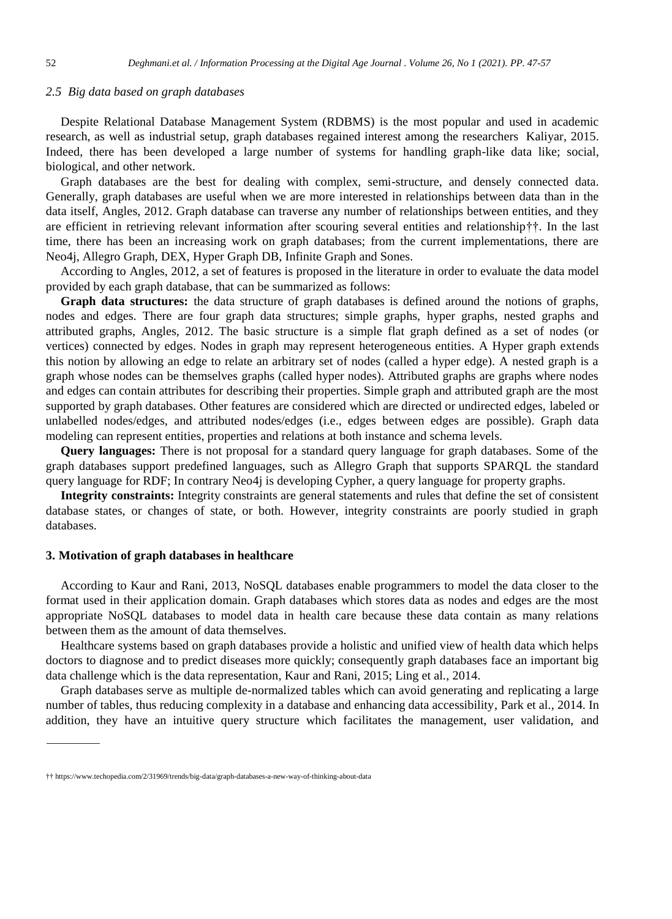#### *2.5 Big data based on graph databases*

Despite Relational Database Management System (RDBMS) is the most popular and used in academic research, as well as industrial setup, graph databases regained interest among the researchers Kaliyar, 2015. Indeed, there has been developed a large number of systems for handling graph-like data like; social, biological, and other network.

Graph databases are the best for dealing with complex, semi-structure, and densely connected data. Generally, graph databases are useful when we are more interested in relationships between data than in the data itself, Angles, 2012. Graph database can traverse any number of relationships between entities, and they are efficient in retrieving relevant information after scouring several entities and relationship††. In the last time, there has been an increasing work on graph databases; from the current implementations, there are Neo4j, Allegro Graph, DEX, Hyper Graph DB, Infinite Graph and Sones.

According to Angles, 2012, a set of features is proposed in the literature in order to evaluate the data model provided by each graph database, that can be summarized as follows:

**Graph data structures:** the data structure of graph databases is defined around the notions of graphs, nodes and edges. There are four graph data structures; simple graphs, hyper graphs, nested graphs and attributed graphs, Angles, 2012. The basic structure is a simple flat graph defined as a set of nodes (or vertices) connected by edges. Nodes in graph may represent heterogeneous entities. A Hyper graph extends this notion by allowing an edge to relate an arbitrary set of nodes (called a hyper edge). A nested graph is a graph whose nodes can be themselves graphs (called hyper nodes). Attributed graphs are graphs where nodes and edges can contain attributes for describing their properties. Simple graph and attributed graph are the most supported by graph databases. Other features are considered which are directed or undirected edges, labeled or unlabelled nodes/edges, and attributed nodes/edges (i.e., edges between edges are possible). Graph data modeling can represent entities, properties and relations at both instance and schema levels.

**Query languages:** There is not proposal for a standard query language for graph databases. Some of the graph databases support predefined languages, such as Allegro Graph that supports SPARQL the standard query language for RDF; In contrary Neo4j is developing Cypher, a query language for property graphs.

**Integrity constraints:** Integrity constraints are general statements and rules that define the set of consistent database states, or changes of state, or both. However, integrity constraints are poorly studied in graph databases.

#### **3. Motivation of graph databases in healthcare**

According to Kaur and Rani, 2013, NoSQL databases enable programmers to model the data closer to the format used in their application domain. Graph databases which stores data as nodes and edges are the most appropriate NoSQL databases to model data in health care because these data contain as many relations between them as the amount of data themselves.

Healthcare systems based on graph databases provide a holistic and unified view of health data which helps doctors to diagnose and to predict diseases more quickly; consequently graph databases face an important big data challenge which is the data representation, Kaur and Rani, 2015; Ling et al., 2014.

Graph databases serve as multiple de-normalized tables which can avoid generating and replicating a large number of tables, thus reducing complexity in a database and enhancing data accessibility, Park et al., 2014. In addition, they have an intuitive query structure which facilitates the management, user validation, and

<sup>††</sup> <https://www.techopedia.com/2/31969/trends/big-data/graph-databases-a-new-way-of-thinking-about-data>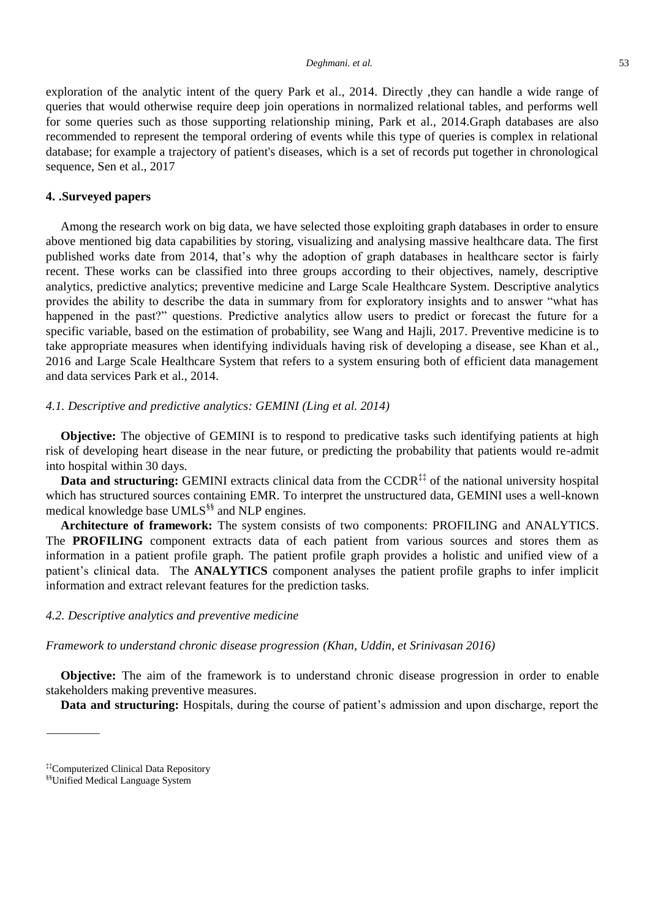exploration of the analytic intent of the query Park et al., 2014. Directly ,they can handle a wide range of queries that would otherwise require deep join operations in normalized relational tables, and performs well for some queries such as those supporting relationship mining, Park et al., 2014.Graph databases are also recommended to represent the temporal ordering of events while this type of queries is complex in relational database; for example a trajectory of patient's diseases, which is a set of records put together in chronological sequence, Sen et al., 2017

## **4. .Surveyed papers**

Among the research work on big data, we have selected those exploiting graph databases in order to ensure above mentioned big data capabilities by storing, visualizing and analysing massive healthcare data. The first published works date from 2014, that's why the adoption of graph databases in healthcare sector is fairly recent. These works can be classified into three groups according to their objectives, namely, descriptive analytics, predictive analytics; preventive medicine and Large Scale Healthcare System. Descriptive analytics provides the ability to describe the data in summary from for exploratory insights and to answer "what has happened in the past?" questions. Predictive analytics allow users to predict or forecast the future for a specific variable, based on the estimation of probability, see Wang and Hajli, 2017. Preventive medicine is to take appropriate measures when identifying individuals having risk of developing a disease, see Khan et al., 2016 and Large Scale Healthcare System that refers to a system ensuring both of efficient data management and data services Park et al., 2014.

## *4.1. Descriptive and predictive analytics: GEMINI (Ling et al. 2014)*

**Objective:** The objective of GEMINI is to respond to predicative tasks such identifying patients at high risk of developing heart disease in the near future, or predicting the probability that patients would re-admit into hospital within 30 days.

**Data and structuring:** GEMINI extracts clinical data from the CCDR<sup>‡‡</sup> of the national university hospital which has structured sources containing EMR. To interpret the unstructured data, GEMINI uses a well-known medical knowledge base UMLS<sup>§§</sup> and NLP engines.

**Architecture of framework:** The system consists of two components: PROFILING and ANALYTICS. The **PROFILING** component extracts data of each patient from various sources and stores them as information in a patient profile graph. The patient profile graph provides a holistic and unified view of a patient's clinical data. The **ANALYTICS** component analyses the patient profile graphs to infer implicit information and extract relevant features for the prediction tasks.

### *4.2. Descriptive analytics and preventive medicine*

*Framework to understand chronic disease progression (Khan, Uddin, et Srinivasan 2016)*

**Objective:** The aim of the framework is to understand chronic disease progression in order to enable stakeholders making preventive measures.

**Data and structuring:** Hospitals, during the course of patient's admission and upon discharge, report the

<sup>‡‡</sup>Computerized Clinical Data Repository

<sup>§§</sup>Unified Medical Language System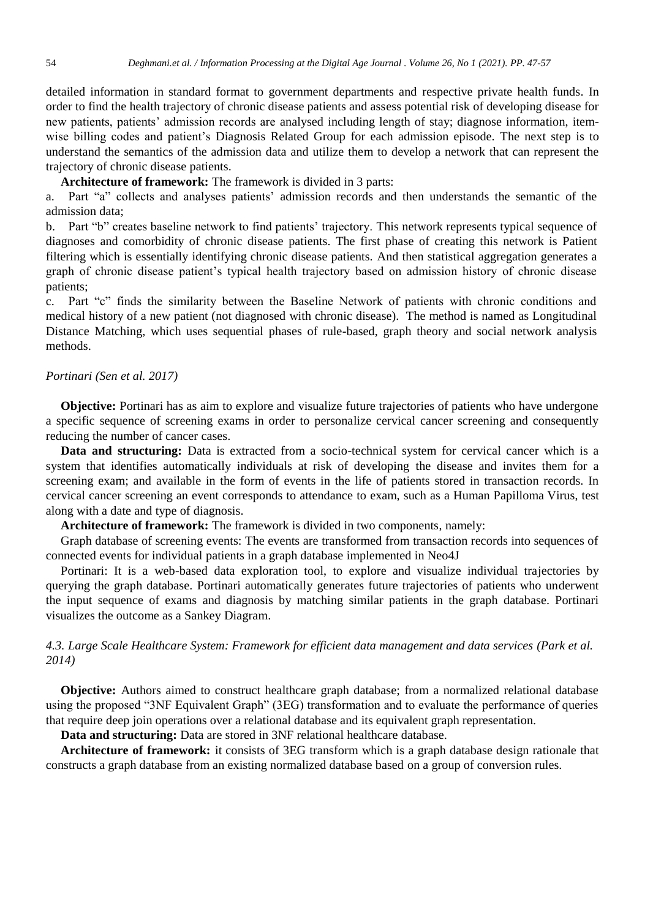detailed information in standard format to government departments and respective private health funds. In order to find the health trajectory of chronic disease patients and assess potential risk of developing disease for new patients, patients' admission records are analysed including length of stay; diagnose information, itemwise billing codes and patient's Diagnosis Related Group for each admission episode. The next step is to understand the semantics of the admission data and utilize them to develop a network that can represent the trajectory of chronic disease patients.

**Architecture of framework:** The framework is divided in 3 parts:

a. Part "a" collects and analyses patients' admission records and then understands the semantic of the admission data;

b. Part "b" creates baseline network to find patients' trajectory. This network represents typical sequence of diagnoses and comorbidity of chronic disease patients. The first phase of creating this network is Patient filtering which is essentially identifying chronic disease patients. And then statistical aggregation generates a graph of chronic disease patient's typical health trajectory based on admission history of chronic disease patients;

c. Part "c" finds the similarity between the Baseline Network of patients with chronic conditions and medical history of a new patient (not diagnosed with chronic disease). The method is named as Longitudinal Distance Matching, which uses sequential phases of rule-based, graph theory and social network analysis methods.

#### *Portinari (Sen et al. 2017)*

**Objective:** Portinari has as aim to explore and visualize future trajectories of patients who have undergone a specific sequence of screening exams in order to personalize cervical cancer screening and consequently reducing the number of cancer cases.

**Data and structuring:** Data is extracted from a socio-technical system for cervical cancer which is a system that identifies automatically individuals at risk of developing the disease and invites them for a screening exam; and available in the form of events in the life of patients stored in transaction records. In cervical cancer screening an event corresponds to attendance to exam, such as a Human Papilloma Virus, test along with a date and type of diagnosis.

**Architecture of framework:** The framework is divided in two components, namely:

Graph database of screening events: The events are transformed from transaction records into sequences of connected events for individual patients in a graph database implemented in Neo4J

Portinari: It is a web-based data exploration tool, to explore and visualize individual trajectories by querying the graph database. Portinari automatically generates future trajectories of patients who underwent the input sequence of exams and diagnosis by matching similar patients in the graph database. Portinari visualizes the outcome as a Sankey Diagram.

*4.3. Large Scale Healthcare System: Framework for efficient data management and data services (Park et al. 2014)*

**Objective:** Authors aimed to construct healthcare graph database; from a normalized relational database using the proposed "3NF Equivalent Graph" (3EG) transformation and to evaluate the performance of queries that require deep join operations over a relational database and its equivalent graph representation.

**Data and structuring:** Data are stored in 3NF relational healthcare database.

**Architecture of framework:** it consists of 3EG transform which is a graph database design rationale that constructs a graph database from an existing normalized database based on a group of conversion rules.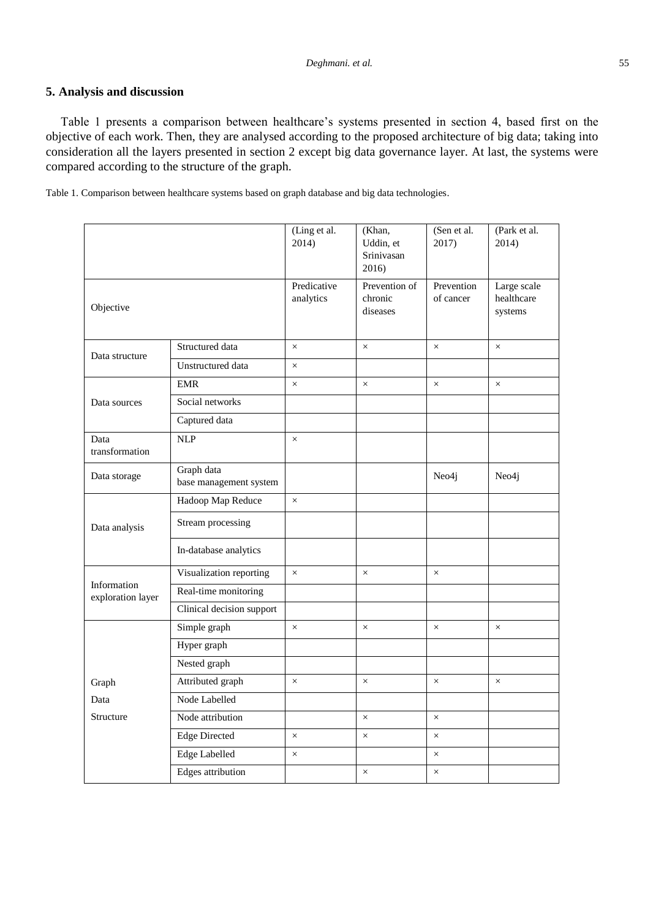## **5. Analysis and discussion**

Table 1 presents a comparison between healthcare's systems presented in section 4, based first on the objective of each work. Then, they are analysed according to the proposed architecture of big data; taking into consideration all the layers presented in section 2 except big data governance layer. At last, the systems were compared according to the structure of the graph.

Table 1. Comparison between healthcare systems based on graph database and big data technologies.

|                                  |                                      | (Ling et al.<br>2014)    | (Khan,<br>Uddin, et<br>Srinivasan<br>2016) | (Sen et al.<br>2017)    | (Park et al.<br>2014)                |
|----------------------------------|--------------------------------------|--------------------------|--------------------------------------------|-------------------------|--------------------------------------|
| Objective                        |                                      | Predicative<br>analytics | Prevention of<br>chronic<br>diseases       | Prevention<br>of cancer | Large scale<br>healthcare<br>systems |
| Data structure                   | Structured data                      | $\times$                 | $\times$                                   | $\times$                | $\times$                             |
|                                  | Unstructured data                    | $\times$                 |                                            |                         |                                      |
| Data sources                     | <b>EMR</b>                           | $\times$                 | $\times$                                   | $\times$                | $\times$                             |
|                                  | Social networks                      |                          |                                            |                         |                                      |
|                                  | Captured data                        |                          |                                            |                         |                                      |
| Data<br>transformation           | <b>NLP</b>                           | $\times$                 |                                            |                         |                                      |
| Data storage                     | Graph data<br>base management system |                          |                                            | Neo4j                   | Neo4j                                |
| Data analysis                    | Hadoop Map Reduce                    | $\times$                 |                                            |                         |                                      |
|                                  | Stream processing                    |                          |                                            |                         |                                      |
|                                  | In-database analytics                |                          |                                            |                         |                                      |
| Information<br>exploration layer | Visualization reporting              | $\times$                 | $\times$                                   | $\times$                |                                      |
|                                  | Real-time monitoring                 |                          |                                            |                         |                                      |
|                                  | Clinical decision support            |                          |                                            |                         |                                      |
|                                  | Simple graph                         | $\times$                 | $\times$                                   | $\times$                | $\times$                             |
|                                  | Hyper graph                          |                          |                                            |                         |                                      |
|                                  | Nested graph                         |                          |                                            |                         |                                      |
| Graph                            | Attributed graph                     | $\times$                 | $\times$                                   | $\times$                | $\times$                             |
| Data                             | Node Labelled                        |                          |                                            |                         |                                      |
| Structure                        | Node attribution                     |                          | $\times$                                   | $\times$                |                                      |
|                                  | <b>Edge Directed</b>                 | $\times$                 | $\times$                                   | $\times$                |                                      |
|                                  | Edge Labelled                        | $\times$                 |                                            | $\times$                |                                      |
|                                  | Edges attribution                    |                          | $\times$                                   | $\times$                |                                      |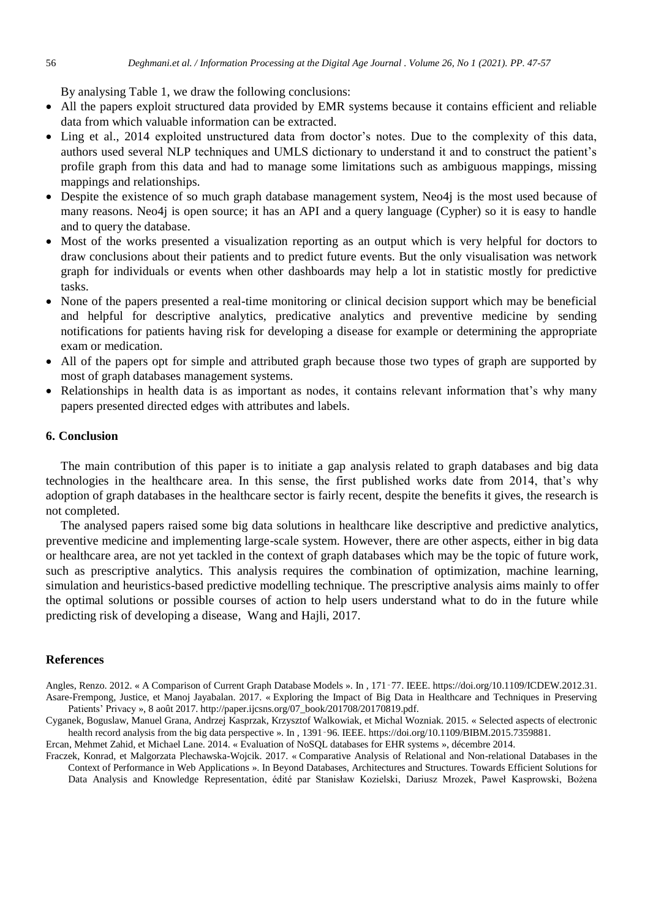By analysing Table 1, we draw the following conclusions:

- All the papers exploit structured data provided by EMR systems because it contains efficient and reliable data from which valuable information can be extracted.
- Ling et al., 2014 exploited unstructured data from doctor's notes. Due to the complexity of this data, authors used several NLP techniques and UMLS dictionary to understand it and to construct the patient's profile graph from this data and had to manage some limitations such as ambiguous mappings, missing mappings and relationships.
- Despite the existence of so much graph database management system, Neo4j is the most used because of many reasons. Neo4j is open source; it has an API and a query language (Cypher) so it is easy to handle and to query the database.
- Most of the works presented a visualization reporting as an output which is very helpful for doctors to draw conclusions about their patients and to predict future events. But the only visualisation was network graph for individuals or events when other dashboards may help a lot in statistic mostly for predictive tasks.
- None of the papers presented a real-time monitoring or clinical decision support which may be beneficial and helpful for descriptive analytics, predicative analytics and preventive medicine by sending notifications for patients having risk for developing a disease for example or determining the appropriate exam or medication.
- All of the papers opt for simple and attributed graph because those two types of graph are supported by most of graph databases management systems.
- Relationships in health data is as important as nodes, it contains relevant information that's why many papers presented directed edges with attributes and labels.

#### **6. Conclusion**

The main contribution of this paper is to initiate a gap analysis related to graph databases and big data technologies in the healthcare area. In this sense, the first published works date from 2014, that's why adoption of graph databases in the healthcare sector is fairly recent, despite the benefits it gives, the research is not completed.

The analysed papers raised some big data solutions in healthcare like descriptive and predictive analytics, preventive medicine and implementing large-scale system. However, there are other aspects, either in big data or healthcare area, are not yet tackled in the context of graph databases which may be the topic of future work, such as prescriptive analytics. This analysis requires the combination of optimization, machine learning, simulation and heuristics-based predictive modelling technique. The prescriptive analysis aims mainly to offer the optimal solutions or possible courses of action to help users understand what to do in the future while predicting risk of developing a disease, Wang and Hajli, 2017.

#### **References**

Angles, Renzo. 2012. « A Comparison of Current Graph Database Models ». In , 171‑77. IEEE. https://doi.org/10.1109/ICDEW.2012.31. Asare-Frempong, Justice, et Manoj Jayabalan. 2017. « Exploring the Impact of Big Data in Healthcare and Techniques in Preserving Patients' Privacy », 8 août 2017. http://paper.ijcsns.org/07\_book/201708/20170819.pdf.

Cyganek, Boguslaw, Manuel Grana, Andrzej Kasprzak, Krzysztof Walkowiak, et Michal Wozniak. 2015. « Selected aspects of electronic health record analysis from the big data perspective ». In , 1391–96. IEEE. https://doi.org/10.1109/BIBM.2015.7359881.

Ercan, Mehmet Zahid, et Michael Lane. 2014. « Evaluation of NoSQL databases for EHR systems », décembre 2014.

Fraczek, Konrad, et Malgorzata Plechawska-Wojcik. 2017. « Comparative Analysis of Relational and Non-relational Databases in the Context of Performance in Web Applications ». In Beyond Databases, Architectures and Structures. Towards Efficient Solutions for Data Analysis and Knowledge Representation, édité par Stanisław Kozielski, Dariusz Mrozek, Paweł Kasprowski, Bożena